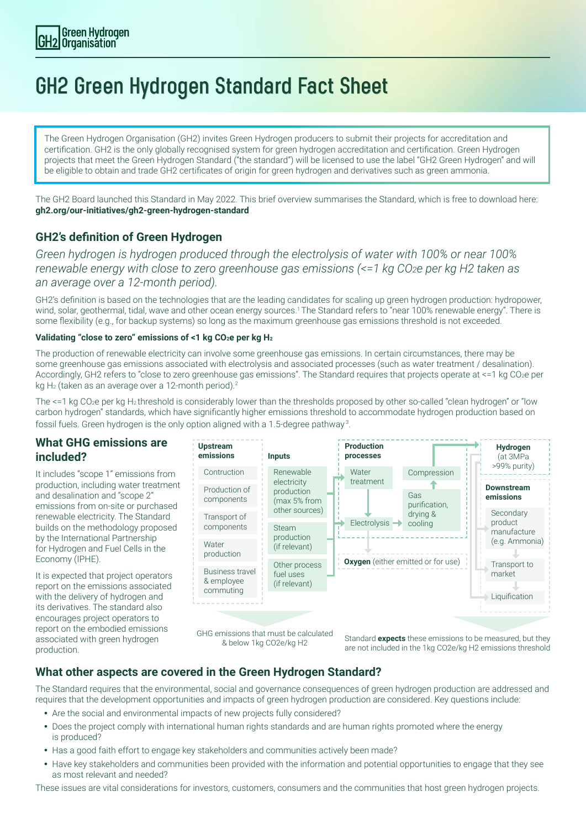# **GH2 Green Hydrogen Standard Fact Sheet**

The Green Hydrogen Organisation (GH2) invites Green Hydrogen producers to submit their projects for accreditation and certification. GH2 is the only globally recognised system for green hydrogen accreditation and certification. Green Hydrogen projects that meet the Green Hydrogen Standard ("the standard") will be licensed to use the label "GH2 Green Hydrogen" and will be eligible to obtain and trade GH2 certificates of origin for green hydrogen and derivatives such as green ammonia.

The GH2 Board launched this Standard in May 2022. This brief overview summarises the Standard, which is free to download here: **gh2.org/our-initiatives/gh2-green-hydrogen-standard** 

## **GH2's definition of Green Hydrogen**

*Green hydrogen is hydrogen produced through the electrolysis of water with 100% or near 100% renewable energy with close to zero greenhouse gas emissions (<=1 kg CO2e per kg H2 taken as an average over a 12-month period).* 

GH2's definition is based on the technologies that are the leading candidates for scaling up green hydrogen production: hydropower, wind, solar, geothermal, tidal, wave and other ocean energy sources.<sup>1</sup> The Standard refers to "near 100% renewable energy". There is some flexibility (e.g., for backup systems) so long as the maximum greenhouse gas emissions threshold is not exceeded.

#### **Validating "close to zero" emissions of <1 kg CO2e per kg H<sup>2</sup>**

The production of renewable electricity can involve some greenhouse gas emissions. In certain circumstances, there may be some greenhouse gas emissions associated with electrolysis and associated processes (such as water treatment / desalination). Accordingly, GH2 refers to "close to zero greenhouse gas emissions". The Standard requires that projects operate at <=1 kg CO2e per kg H<sub>2</sub> (taken as an average over a 12-month period).<sup>2</sup>

The <=1 kg CO<sub>2</sub>e per kg H<sub>2</sub> threshold is considerably lower than the thresholds proposed by other so-called "clean hydrogen" or "low carbon hydrogen" standards, which have significantly higher emissions threshold to accommodate hydrogen production based on fossil fuels. Green hydrogen is the only option aligned with a 1.5-degree pathway 3.

#### **What GHG emissions are included?**

It includes "scope 1" emissions from production, including water treatment and desalination and "scope 2" emissions from on-site or purchased renewable electricity. The Standard builds on the methodology proposed by the International Partnership for Hydrogen and Fuel Cells in the Economy (IPHE).

It is expected that project operators report on the emissions associated with the delivery of hydrogen and its derivatives. The standard also encourages project operators to report on the embodied emissions associated with green hydrogen production.



GHG emissions that must be calculated

& below 1kg CO2e/kg H2 Standard **expects** these emissions to be measured, but they are not included in the 1kg CO2e/kg H2 emissions threshold

## **What other aspects are covered in the Green Hydrogen Standard?**

The Standard requires that the environmental, social and governance consequences of green hydrogen production are addressed and requires that the development opportunities and impacts of green hydrogen production are considered. Key questions include:

- Are the social and environmental impacts of new projects fully considered?
- Does the project comply with international human rights standards and are human rights promoted where the energy is produced?
- Has a good faith effort to engage key stakeholders and communities actively been made?
- Have key stakeholders and communities been provided with the information and potential opportunities to engage that they see as most relevant and needed?

These issues are vital considerations for investors, customers, consumers and the communities that host green hydrogen projects.